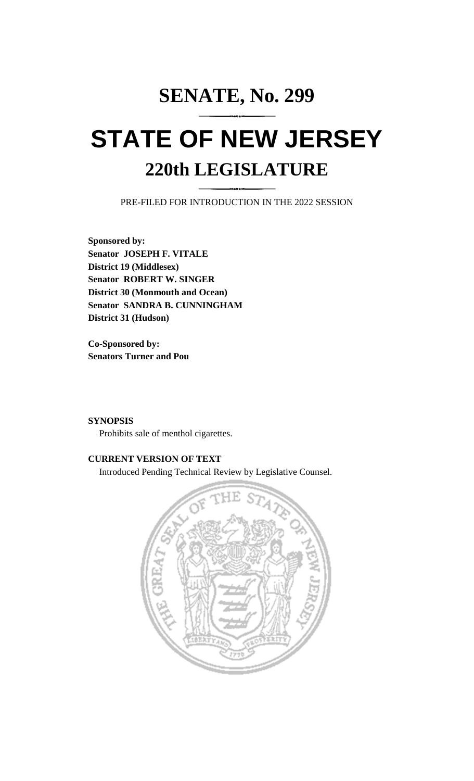# **SENATE, No. 299**

# **STATE OF NEW JERSEY 220th LEGISLATURE**

PRE-FILED FOR INTRODUCTION IN THE 2022 SESSION

**Sponsored by: Senator JOSEPH F. VITALE District 19 (Middlesex) Senator ROBERT W. SINGER District 30 (Monmouth and Ocean) Senator SANDRA B. CUNNINGHAM District 31 (Hudson)**

**Co-Sponsored by: Senators Turner and Pou**

## **SYNOPSIS**

Prohibits sale of menthol cigarettes.

# **CURRENT VERSION OF TEXT**

Introduced Pending Technical Review by Legislative Counsel.

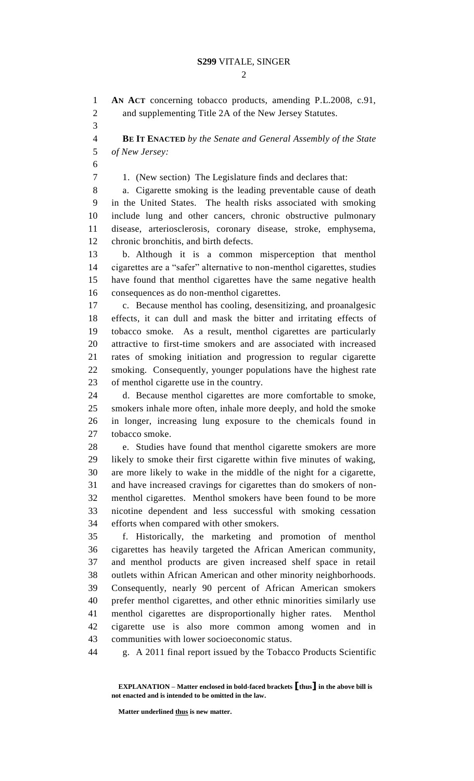#### **S299** VITALE, SINGER

 $\mathcal{D}_{\mathcal{L}}$ 

 **AN ACT** concerning tobacco products, amending P.L.2008, c.91, and supplementing Title 2A of the New Jersey Statutes. **BE IT ENACTED** *by the Senate and General Assembly of the State of New Jersey:* 1. (New section) The Legislature finds and declares that: a. Cigarette smoking is the leading preventable cause of death in the United States. The health risks associated with smoking include lung and other cancers, chronic obstructive pulmonary disease, arteriosclerosis, coronary disease, stroke, emphysema, chronic bronchitis, and birth defects. b. Although it is a common misperception that menthol cigarettes are a "safer" alternative to non-menthol cigarettes, studies have found that menthol cigarettes have the same negative health consequences as do non-menthol cigarettes. c. Because menthol has cooling, desensitizing, and proanalgesic effects, it can dull and mask the bitter and irritating effects of tobacco smoke. As a result, menthol cigarettes are particularly attractive to first-time smokers and are associated with increased rates of smoking initiation and progression to regular cigarette smoking. Consequently, younger populations have the highest rate of menthol cigarette use in the country. d. Because menthol cigarettes are more comfortable to smoke, smokers inhale more often, inhale more deeply, and hold the smoke in longer, increasing lung exposure to the chemicals found in tobacco smoke. e. Studies have found that menthol cigarette smokers are more likely to smoke their first cigarette within five minutes of waking, are more likely to wake in the middle of the night for a cigarette, and have increased cravings for cigarettes than do smokers of non- menthol cigarettes. Menthol smokers have been found to be more nicotine dependent and less successful with smoking cessation efforts when compared with other smokers. f. Historically, the marketing and promotion of menthol cigarettes has heavily targeted the African American community, and menthol products are given increased shelf space in retail outlets within African American and other minority neighborhoods. Consequently, nearly 90 percent of African American smokers prefer menthol cigarettes, and other ethnic minorities similarly use menthol cigarettes are disproportionally higher rates. Menthol cigarette use is also more common among women and in communities with lower socioeconomic status. g. A 2011 final report issued by the Tobacco Products Scientific

**Matter underlined thus is new matter.**

**EXPLANATION – Matter enclosed in bold-faced brackets [thus] in the above bill is not enacted and is intended to be omitted in the law.**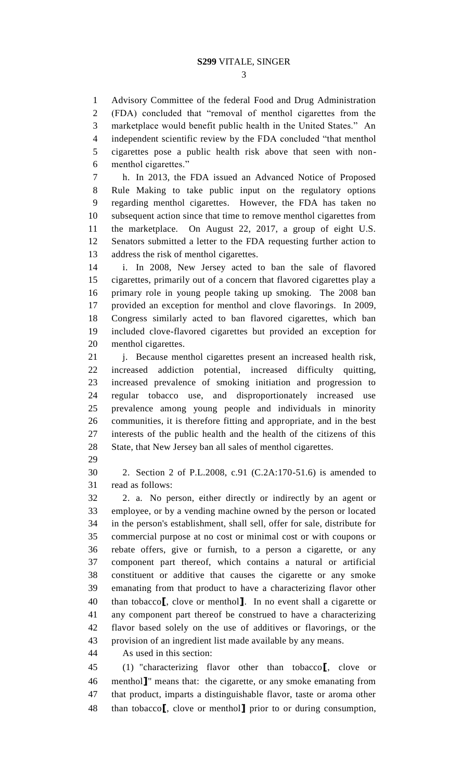#### **S299** VITALE, SINGER

 Advisory Committee of the federal Food and Drug Administration (FDA) concluded that "removal of menthol cigarettes from the marketplace would benefit public health in the United States." An independent scientific review by the FDA concluded "that menthol cigarettes pose a public health risk above that seen with non-menthol cigarettes."

 h. In 2013, the FDA issued an Advanced Notice of Proposed Rule Making to take public input on the regulatory options regarding menthol cigarettes. However, the FDA has taken no subsequent action since that time to remove menthol cigarettes from the marketplace. On August 22, 2017, a group of eight U.S. Senators submitted a letter to the FDA requesting further action to address the risk of menthol cigarettes.

 i. In 2008, New Jersey acted to ban the sale of flavored cigarettes, primarily out of a concern that flavored cigarettes play a primary role in young people taking up smoking. The 2008 ban provided an exception for menthol and clove flavorings. In 2009, Congress similarly acted to ban flavored cigarettes, which ban included clove-flavored cigarettes but provided an exception for menthol cigarettes.

 j. Because menthol cigarettes present an increased health risk, increased addiction potential, increased difficulty quitting, increased prevalence of smoking initiation and progression to regular tobacco use, and disproportionately increased use prevalence among young people and individuals in minority communities, it is therefore fitting and appropriate, and in the best interests of the public health and the health of the citizens of this State, that New Jersey ban all sales of menthol cigarettes.

 2. Section 2 of P.L.2008, c.91 (C.2A:170-51.6) is amended to read as follows:

 2. a. No person, either directly or indirectly by an agent or employee, or by a vending machine owned by the person or located in the person's establishment, shall sell, offer for sale, distribute for commercial purpose at no cost or minimal cost or with coupons or rebate offers, give or furnish, to a person a cigarette, or any component part thereof, which contains a natural or artificial constituent or additive that causes the cigarette or any smoke emanating from that product to have a characterizing flavor other than tobacco**[**, clove or menthol**]**. In no event shall a cigarette or any component part thereof be construed to have a characterizing flavor based solely on the use of additives or flavorings, or the provision of an ingredient list made available by any means.

As used in this section:

 (1) "characterizing flavor other than tobacco**[**, clove or menthol**]**" means that: the cigarette, or any smoke emanating from that product, imparts a distinguishable flavor, taste or aroma other than tobacco**[**, clove or menthol**]** prior to or during consumption,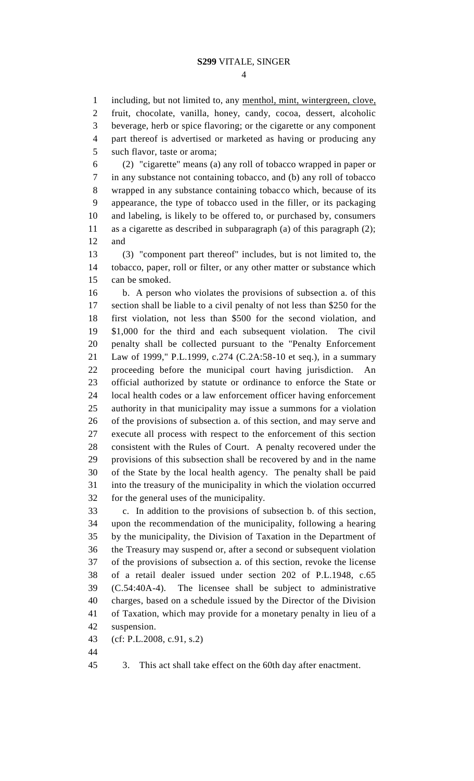including, but not limited to, any menthol, mint, wintergreen, clove, fruit, chocolate, vanilla, honey, candy, cocoa, dessert, alcoholic beverage, herb or spice flavoring; or the cigarette or any component part thereof is advertised or marketed as having or producing any such flavor, taste or aroma;

 (2) "cigarette" means (a) any roll of tobacco wrapped in paper or in any substance not containing tobacco, and (b) any roll of tobacco wrapped in any substance containing tobacco which, because of its appearance, the type of tobacco used in the filler, or its packaging and labeling, is likely to be offered to, or purchased by, consumers as a cigarette as described in subparagraph (a) of this paragraph (2); and

 (3) "component part thereof" includes, but is not limited to, the tobacco, paper, roll or filter, or any other matter or substance which can be smoked.

 b. A person who violates the provisions of subsection a. of this section shall be liable to a civil penalty of not less than \$250 for the first violation, not less than \$500 for the second violation, and \$1,000 for the third and each subsequent violation. The civil penalty shall be collected pursuant to the "Penalty Enforcement Law of 1999," P.L.1999, c.274 (C.2A:58-10 et seq.), in a summary proceeding before the municipal court having jurisdiction. An official authorized by statute or ordinance to enforce the State or local health codes or a law enforcement officer having enforcement authority in that municipality may issue a summons for a violation of the provisions of subsection a. of this section, and may serve and execute all process with respect to the enforcement of this section consistent with the Rules of Court. A penalty recovered under the provisions of this subsection shall be recovered by and in the name of the State by the local health agency. The penalty shall be paid into the treasury of the municipality in which the violation occurred for the general uses of the municipality.

 c. In addition to the provisions of subsection b. of this section, upon the recommendation of the municipality, following a hearing by the municipality, the Division of Taxation in the Department of the Treasury may suspend or, after a second or subsequent violation of the provisions of subsection a. of this section, revoke the license of a retail dealer issued under section 202 of P.L.1948, c.65 (C.54:40A-4). The licensee shall be subject to administrative charges, based on a schedule issued by the Director of the Division of Taxation, which may provide for a monetary penalty in lieu of a suspension.

(cf: P.L.2008, c.91, s.2)

3. This act shall take effect on the 60th day after enactment.